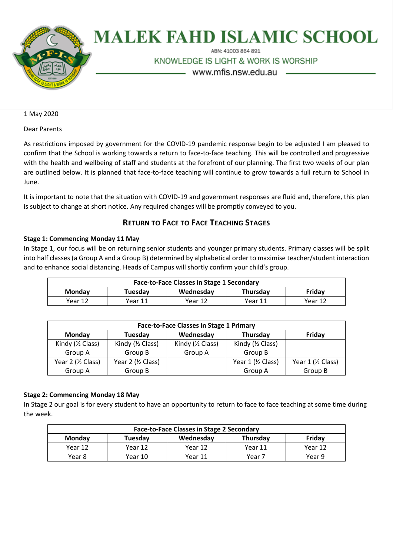

# **MALEK FAHD ISLAMIC SCHOOL**

ABN: 41003 864 891

KNOWLEDGE IS LIGHT & WORK IS WORSHIP

www.mfis.nsw.edu.au

1 May 2020

Dear Parents

As restrictions imposed by government for the COVID-19 pandemic response begin to be adjusted I am pleased to confirm that the School is working towards a return to face-to-face teaching. This will be controlled and progressive with the health and wellbeing of staff and students at the forefront of our planning. The first two weeks of our plan are outlined below. It is planned that face-to-face teaching will continue to grow towards a full return to School in June.

It is important to note that the situation with COVID-19 and government responses are fluid and, therefore, this plan is subject to change at short notice. Any required changes will be promptly conveyed to you.

# **RETURN TO FACE TO FACE TEACHING STAGES**

## **Stage 1: Commencing Monday 11 May**

In Stage 1, our focus will be on returning senior students and younger primary students. Primary classes will be split into half classes (a Group A and a Group B) determined by alphabetical order to maximise teacher/student interaction and to enhance social distancing. Heads of Campus will shortly confirm your child's group.

| <b>Face-to-Face Classes in Stage 1 Secondary</b> |         |           |          |         |  |
|--------------------------------------------------|---------|-----------|----------|---------|--|
| <b>Monday</b>                                    | Tuesday | Wednesday | Thursday | Fridav  |  |
| Year 12                                          | Year 11 | Year 12   | Year 11  | Year 12 |  |

| <b>Face-to-Face Classes in Stage 1 Primary</b> |                    |                       |                             |                    |  |
|------------------------------------------------|--------------------|-----------------------|-----------------------------|--------------------|--|
| Monday                                         | Tuesday            | Wednesday<br>Thursday |                             | Friday             |  |
| Kindy (1/2 Class)                              | Kindy (1/2 Class)  | Kindy (1/2 Class)     | Kindy $(\frac{1}{2}$ Class) |                    |  |
| Group A                                        | Group B            | Group A               | Group B                     |                    |  |
| Year 2 (1/2 Class)                             | Year 2 (1/2 Class) |                       | Year 1 (1/2 Class)          | Year 1 (1/2 Class) |  |
| Group A                                        | Group B            |                       | Group A                     | Group B            |  |

## **Stage 2: Commencing Monday 18 May**

In Stage 2 our goal is for every student to have an opportunity to return to face to face teaching at some time during the week.

| <b>Face-to-Face Classes in Stage 2 Secondary</b> |                      |         |                 |         |  |
|--------------------------------------------------|----------------------|---------|-----------------|---------|--|
| Monday                                           | Wednesday<br>Tuesdav |         | <b>Thursday</b> | Fridav  |  |
| Year 12                                          | Year 12              | Year 12 | Year 11         | Year 12 |  |
| Year 8                                           | Year 10              | Year 11 | Year 7          | Year 9  |  |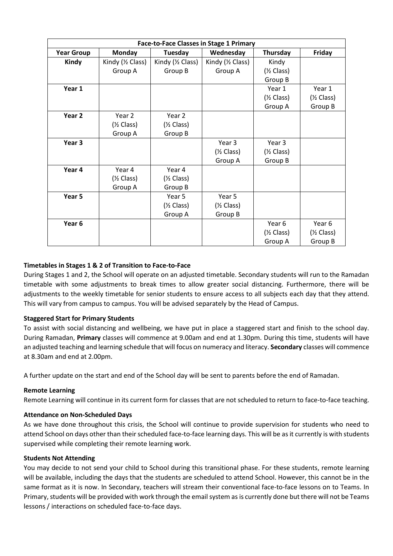| <b>Face-to-Face Classes in Stage 1 Primary</b> |                       |                       |                       |                       |                       |
|------------------------------------------------|-----------------------|-----------------------|-----------------------|-----------------------|-----------------------|
| <b>Year Group</b>                              | <b>Monday</b>         | Tuesday               | Wednesday             | Thursday              | Friday                |
| Kindy                                          | Kindy (1/2 Class)     | Kindy (1/2 Class)     | Kindy (1/2 Class)     | Kindy                 |                       |
|                                                | Group A               | Group B               | Group A               | $(\frac{1}{2}$ Class) |                       |
|                                                |                       |                       |                       | Group B               |                       |
| Year 1                                         |                       |                       |                       | Year 1                | Year 1                |
|                                                |                       |                       |                       | $(\frac{1}{2} Class)$ | $(\frac{1}{2}$ Class) |
|                                                |                       |                       |                       | Group A               | Group B               |
| Year 2                                         | Year 2                | Year 2                |                       |                       |                       |
|                                                | $(\frac{1}{2}$ Class) | $(\frac{1}{2}$ Class) |                       |                       |                       |
|                                                | Group A               | Group B               |                       |                       |                       |
| Year 3                                         |                       |                       | Year 3                | Year 3                |                       |
|                                                |                       |                       | $(\frac{1}{2}$ Class) | $(\frac{1}{2}$ Class) |                       |
|                                                |                       |                       | Group A               | Group B               |                       |
| Year 4                                         | Year 4                | Year 4                |                       |                       |                       |
|                                                | $(\frac{1}{2}$ Class) | $(\frac{1}{2}$ Class) |                       |                       |                       |
|                                                | Group A               | Group B               |                       |                       |                       |
| Year 5                                         |                       | Year 5                | Year 5                |                       |                       |
|                                                |                       | $(\frac{1}{2}$ Class) | $(\frac{1}{2}$ Class) |                       |                       |
|                                                |                       | Group A               | Group B               |                       |                       |
| Year 6                                         |                       |                       |                       | Year 6                | Year 6                |
|                                                |                       |                       |                       | $(\frac{1}{2}$ Class) | $(\frac{1}{2}$ Class) |
|                                                |                       |                       |                       | Group A               | Group B               |

## **Timetables in Stages 1 & 2 of Transition to Face-to-Face**

During Stages 1 and 2, the School will operate on an adjusted timetable. Secondary students will run to the Ramadan timetable with some adjustments to break times to allow greater social distancing. Furthermore, there will be adjustments to the weekly timetable for senior students to ensure access to all subjects each day that they attend. This will vary from campus to campus. You will be advised separately by the Head of Campus.

## **Staggered Start for Primary Students**

To assist with social distancing and wellbeing, we have put in place a staggered start and finish to the school day. During Ramadan, **Primary** classes will commence at 9.00am and end at 1.30pm. During this time, students will have an adjusted teaching and learning schedule that will focus on numeracy and literacy. **Secondary** classes will commence at 8.30am and end at 2.00pm.

A further update on the start and end of the School day will be sent to parents before the end of Ramadan.

#### **Remote Learning**

Remote Learning will continue in its current form for classes that are not scheduled to return to face-to-face teaching.

#### **Attendance on Non-Scheduled Days**

As we have done throughout this crisis, the School will continue to provide supervision for students who need to attend School on days other than their scheduled face-to-face learning days. This will be as it currently is with students supervised while completing their remote learning work.

#### **Students Not Attending**

You may decide to not send your child to School during this transitional phase. For these students, remote learning will be available, including the days that the students are scheduled to attend School. However, this cannot be in the same format as it is now. In Secondary, teachers will stream their conventional face-to-face lessons on to Teams. In Primary, students will be provided with work through the email system as is currently done but there will not be Teams lessons / interactions on scheduled face-to-face days.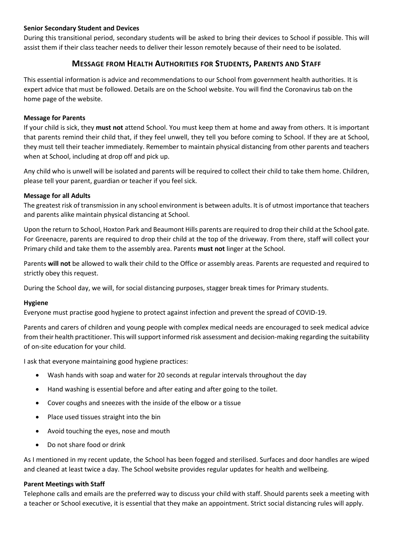## **Senior Secondary Student and Devices**

During this transitional period, secondary students will be asked to bring their devices to School if possible. This will assist them if their class teacher needs to deliver their lesson remotely because of their need to be isolated.

## **MESSAGE FROM HEALTH AUTHORITIES FOR STUDENTS, PARENTS AND STAFF**

This essential information is advice and recommendations to our School from government health authorities. It is expert advice that must be followed. Details are on the School website. You will find the Coronavirus tab on the home page of the website.

## **Message for Parents**

If your child is sick, they **must not** attend School. You must keep them at home and away from others. It is important that parents remind their child that, if they feel unwell, they tell you before coming to School. If they are at School, they must tell their teacher immediately. Remember to maintain physical distancing from other parents and teachers when at School, including at drop off and pick up.

Any child who is unwell will be isolated and parents will be required to collect their child to take them home. Children, please tell your parent, guardian or teacher if you feel sick.

### **Message for all Adults**

The greatest risk of transmission in any school environment is between adults. It is of utmost importance that teachers and parents alike maintain physical distancing at School.

Upon the return to School, Hoxton Park and Beaumont Hills parents are required to drop their child at the School gate. For Greenacre, parents are required to drop their child at the top of the driveway. From there, staff will collect your Primary child and take them to the assembly area. Parents **must not** linger at the School.

Parents **will not** be allowed to walk their child to the Office or assembly areas. Parents are requested and required to strictly obey this request.

During the School day, we will, for social distancing purposes, stagger break times for Primary students.

#### **Hygiene**

Everyone must practise good hygiene to protect against infection and prevent the spread of COVID-19.

Parents and carers of children and young people with complex medical needs are encouraged to seek medical advice from their health practitioner. This will support informed risk assessment and decision-making regarding the suitability of on-site education for your child.

I ask that everyone maintaining good hygiene practices:

- Wash hands with soap and water for 20 seconds at regular intervals throughout the day
- Hand washing is essential before and after eating and after going to the toilet.
- Cover coughs and sneezes with the inside of the elbow or a tissue
- Place used tissues straight into the bin
- Avoid touching the eyes, nose and mouth
- Do not share food or drink

As I mentioned in my recent update, the School has been fogged and sterilised. Surfaces and door handles are wiped and cleaned at least twice a day. The School website provides regular updates for health and wellbeing.

#### **Parent Meetings with Staff**

Telephone calls and emails are the preferred way to discuss your child with staff. Should parents seek a meeting with a teacher or School executive, it is essential that they make an appointment. Strict social distancing rules will apply.